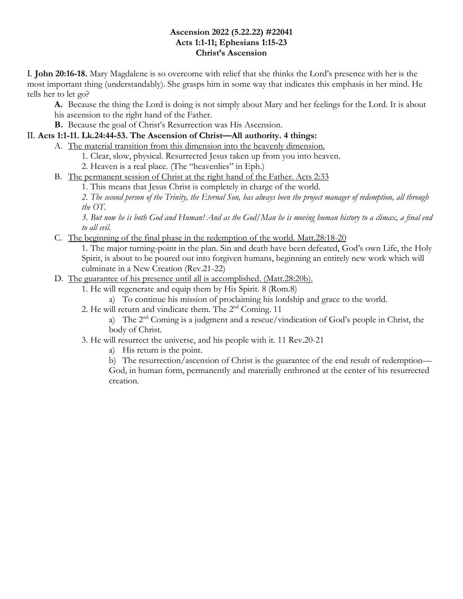#### **Ascension 2022 (5.22.22) #22041 Acts 1:1-11; Ephesians 1:15-23 Christ's Ascension**

I. **John 20:16-18.** Mary Magdalene is so overcome with relief that she thinks the Lord's presence with her is the most important thing (understandably). She grasps him in some way that indicates this emphasis in her mind. He tells her to let go?

**A.** Because the thing the Lord is doing is not simply about Mary and her feelings for the Lord. It is about his ascension to the right hand of the Father.

**B.** Because the goal of Christ's Resurrection was His Ascension.

# II. **Acts 1:1-11. Lk.24:44-53. The Ascension of Christ—All authority. 4 things:**

A. The material transition from this dimension into the heavenly dimension.

1. Clear, slow, physical. Resurrected Jesus taken up from you into heaven.

2. Heaven is a real place. (The "heavenlies" in Eph.)

B. The permanent session of Christ at the right hand of the Father. Acts 2:33

1. This means that Jesus Christ is completely in charge of the world.

*2. The second person of the Trinity, the Eternal Son, has always been the project manager of redemption, all through the OT.*

*3. But now he is both God and Human! And as the God/Man he is moving human history to a climax, a final end to all evil.*

C. The beginning of the final phase in the redemption of the world. Matt.28:18-20

1. The major turning-point in the plan. Sin and death have been defeated, God's own Life, the Holy Spirit, is about to be poured out into forgiven humans, beginning an entirely new work which will culminate in a New Creation (Rev.21-22)

# D. The guarantee of his presence until all is accomplished. (Matt.28:20b).

1. He will regenerate and equip them by His Spirit. 8 (Rom.8)

a) To continue his mission of proclaiming his lordship and grace to the world.

2. He will return and vindicate them. The 2nd Coming. 11

a) The  $2<sup>nd</sup>$  Coming is a judgment and a rescue/vindication of God's people in Christ, the body of Christ.

3. He will resurrect the universe, and his people with it. 11 Rev.20-21

a) His return is the point.

b) The resurrection/ascension of Christ is the guarantee of the end result of redemption— God, in human form, permanently and materially enthroned at the center of his resurrected creation.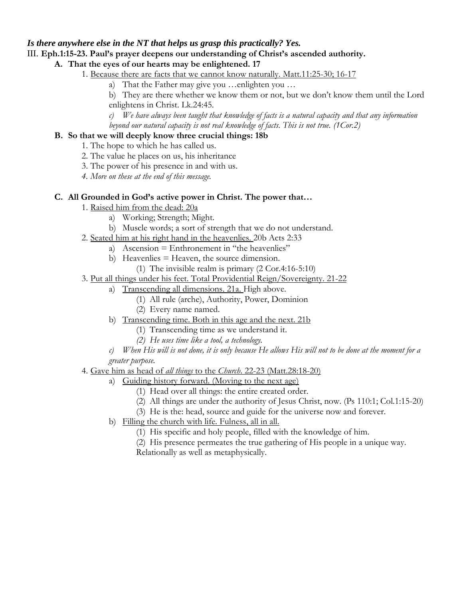### *Is there anywhere else in the NT that helps us grasp this practically? Yes.*

#### III. **Eph.1:15-23. Paul's prayer deepens our understanding of Christ's ascended authority.**

## **A. That the eyes of our hearts may be enlightened. 17**

- 1. Because there are facts that we cannot know naturally. Matt.11:25-30; 16-17
	- a) That the Father may give you …enlighten you …

b) They are there whether we know them or not, but we don't know them until the Lord enlightens in Christ. Lk.24:45.

- *c) We have always been taught that knowledge of facts is a natural capacity and that any information*
- *beyond our natural capacity is not real knowledge of facts. This is not true. (1Cor.2)*

#### **B. So that we will deeply know three crucial things: 18b**

- 1. The hope to which he has called us.
- 2. The value he places on us, his inheritance
- 3. The power of his presence in and with us.
- *4. More on these at the end of this message.*

## **C. All Grounded in God's active power in Christ. The power that…**

- 1. Raised him from the dead: 20a
	- a) Working; Strength; Might.
	- b) Muscle words; a sort of strength that we do not understand.
- 2. Seated him at his right hand in the heavenlies. 20b Acts 2:33
	- a) Ascension = Enthronement in "the heavenlies"
	- b) Heavenlies = Heaven, the source dimension.
		- (1) The invisible realm is primary (2 Cor.4:16-5:10)
- 3. Put all things under his feet. Total Providential Reign/Sovereignty. 21-22
	- a) Transcending all dimensions. 21a. High above.
		- (1) All rule (arche), Authority, Power, Dominion
		- (2) Every name named.
	- b) Transcending time. Both in this age and the next. 21b
		- (1) Transcending time as we understand it.
		- *(2) He uses time like a tool, a technology.*

*c) When His will is not done, it is only because He allows His will not to be done at the moment for a greater purpose.*

## 4. Gave him as head of *all things* to the *Church*. 22-23 (Matt.28:18-20)

- a) Guiding history forward. (Moving to the next age)
	- (1) Head over all things: the entire created order.
	- (2) All things are under the authority of Jesus Christ, now. (Ps 110:1; Col.1:15-20)
	- (3) He is the: head, source and guide for the universe now and forever.
	- b) Filling the church with life. Fulness, all in all.
		- (1) His specific and holy people, filled with the knowledge of him.
		- (2) His presence permeates the true gathering of His people in a unique way.
		- Relationally as well as metaphysically.